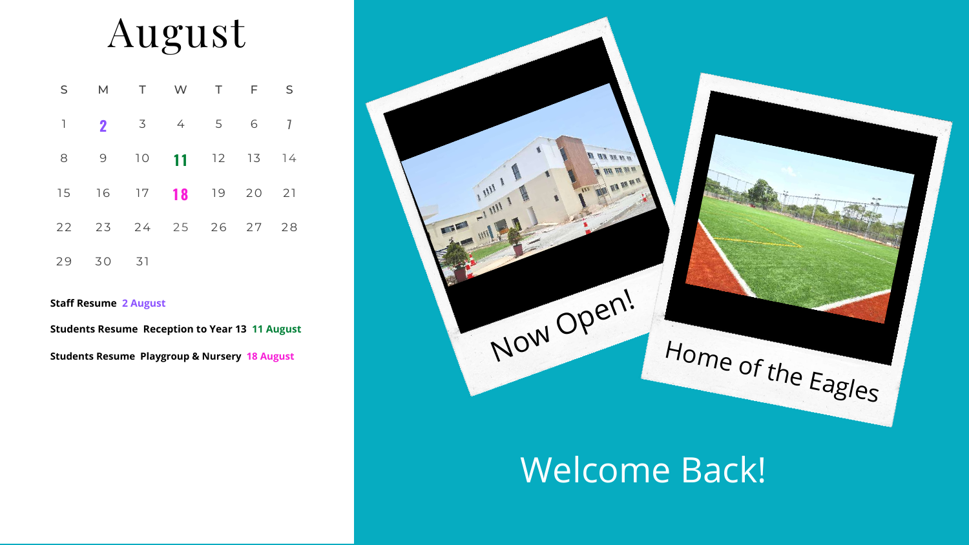### August

| S |                      | M T W T F S |  |  |
|---|----------------------|-------------|--|--|
|   | 1 <b>2</b> 3 4 5 6   |             |  |  |
|   | 8 9 10 11 12 13 14   |             |  |  |
|   | 15 16 17 18 19 20 21 |             |  |  |
|   | 22 23 24 25 26 27 28 |             |  |  |
|   | 29 30 31             |             |  |  |

#### Welcome Back!

**Students Resume Reception to Year 13 11 August**

**Students Resume Playgroup & Nursery 18 August**

#### **Staff Resume 2 August**

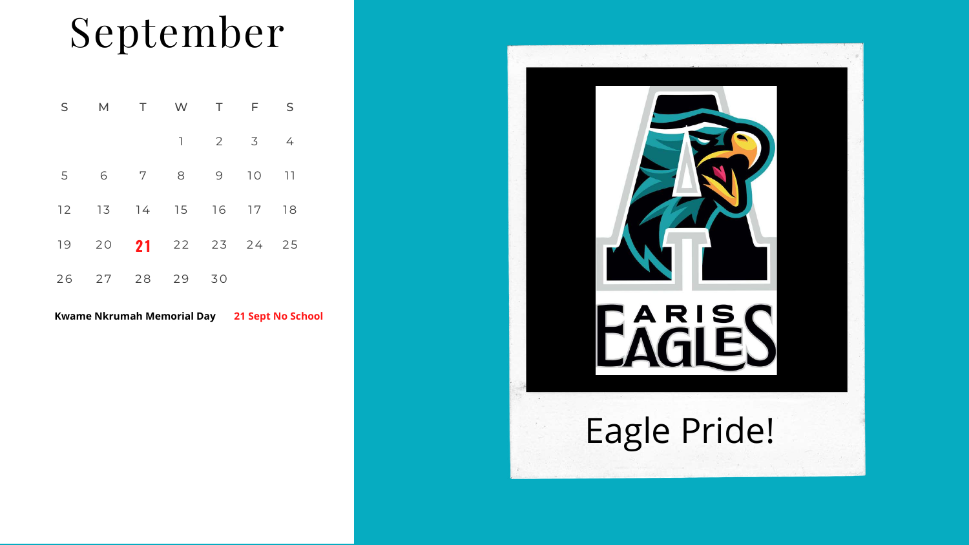# September

| S              |                      | M T W T     |             | F S |                |  |
|----------------|----------------------|-------------|-------------|-----|----------------|--|
|                |                      |             | $1 \t2 \t3$ |     | $\overline{4}$ |  |
| 5 <sup>5</sup> | 6                    | 7 8 9 10 11 |             |     |                |  |
|                | 12 13 14 15 16 17    |             |             |     | 18             |  |
|                | 19 20 21 22 23 24 25 |             |             |     |                |  |
|                | 26 27 28 29 30       |             |             |     |                |  |

**Kwame Nkrumah Memorial Day 21 Sept No School**

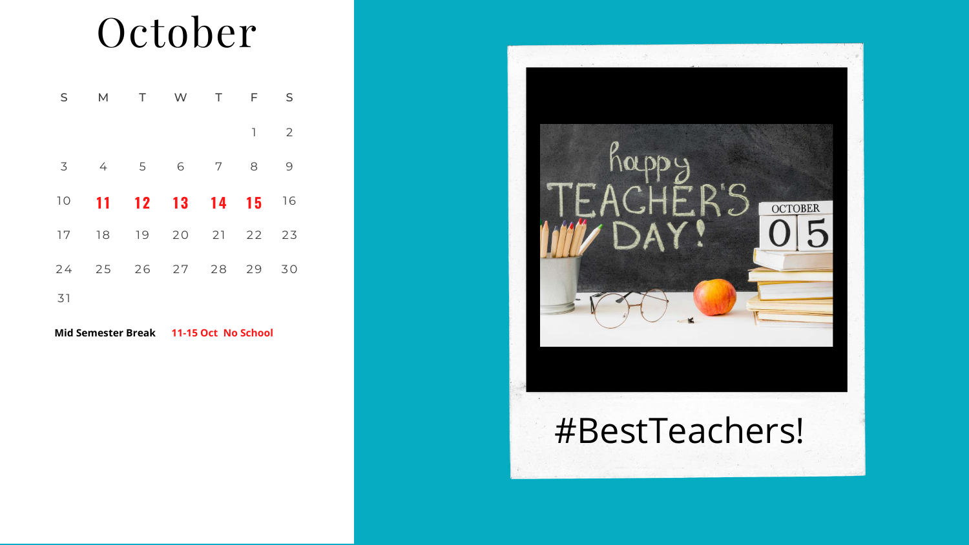### October

| S  | M              |             | T W            | $\mathsf T$    | F. | S  |
|----|----------------|-------------|----------------|----------------|----|----|
|    |                |             |                |                | 1  | 2  |
| 3  | $\overline{4}$ | $5\qquad 6$ |                | $\overline{7}$ | 8  | 9  |
| 10 |                |             | 11 12 13 14 15 |                |    | 16 |
| 17 | 18             |             | 19 20 21 22    |                |    | 23 |
| 24 | 25 26 27 28 29 |             |                |                |    | 30 |
| 31 |                |             |                |                |    |    |

**Mid Semester Break 11-15 Oct No School**

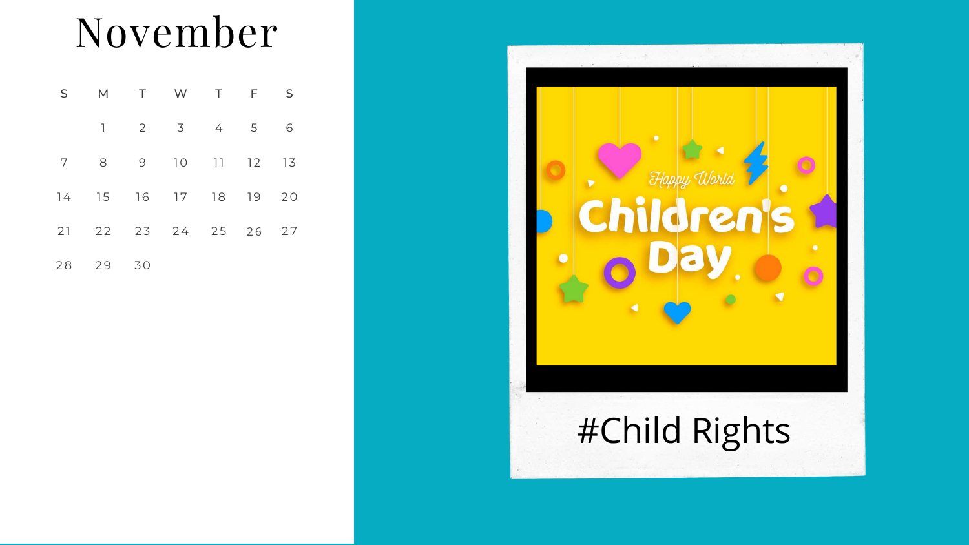| S.         |                      |    | M T W T F       |  | $\overline{\mathsf{S}}$ |
|------------|----------------------|----|-----------------|--|-------------------------|
|            | $\mathbb{L}$         |    | 2 3 4 5         |  | 6                       |
| $7\degree$ |                      |    | 8 9 10 11 12 13 |  |                         |
|            | 14 15 16 17 18 19    |    |                 |  | 20                      |
|            | 21 22 23 24 25 26 27 |    |                 |  |                         |
|            | 28 29                | 30 |                 |  |                         |

 $\blacktriangleright$ 

# Happy World **Children's**

### November

#### #Child Rights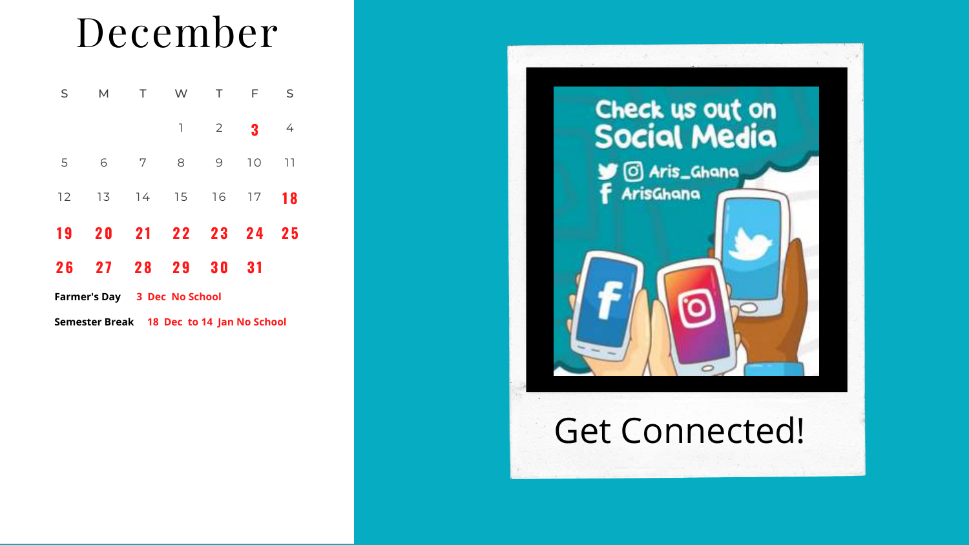### December

| S                                   | M         | $\top$ | <b>W</b>                 | $\top$         | $\overline{F}$ | S              |
|-------------------------------------|-----------|--------|--------------------------|----------------|----------------|----------------|
|                                     |           |        | $\mathbb{L}$             | $\overline{2}$ | 3              | $\overline{4}$ |
| 5                                   | 6         | 7      | $\overline{\mathcal{B}}$ | 9              | 10             | 11             |
| 12                                  | 13        | 74     | 15 16 17                 |                |                | <b>18</b>      |
| 19                                  | <b>20</b> |        | 21 22 23                 |                | 24             | 25             |
| 26                                  | 27        | 28     | 29                       | 30             | 31             |                |
| <b>Farmer's Day 3 Dec No School</b> |           |        |                          |                |                |                |

Get Connected!



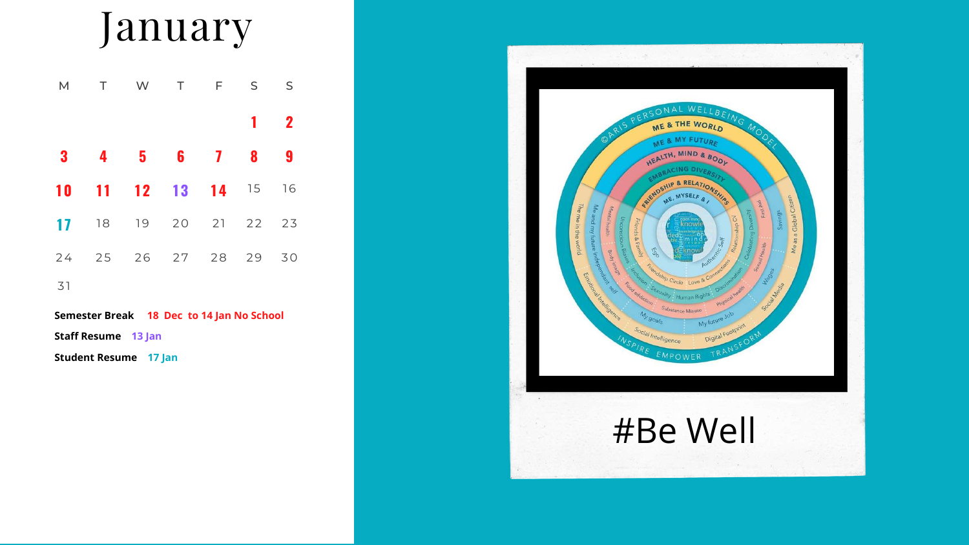### January

|                         | M T W T F S S        |           |  |              |             |
|-------------------------|----------------------|-----------|--|--------------|-------------|
|                         |                      |           |  | $\mathbf{1}$ | $\mathbf 2$ |
| $\overline{\mathbf{3}}$ |                      | 4 5 6 7 8 |  |              | 9           |
|                         | 10 11 12 13 14 15 16 |           |  |              |             |
|                         | 17 18 19 20 21 22    |           |  |              | 23          |
|                         | 24 25 26 27 28 29    |           |  |              | 30          |
| <b>ZI</b>               |                      |           |  |              |             |

 $3<sup>1</sup>$ 



**Semester Break 18 Dec to 14 Jan No School Staff Resume 13 Jan**

**Student Resume 17 Jan**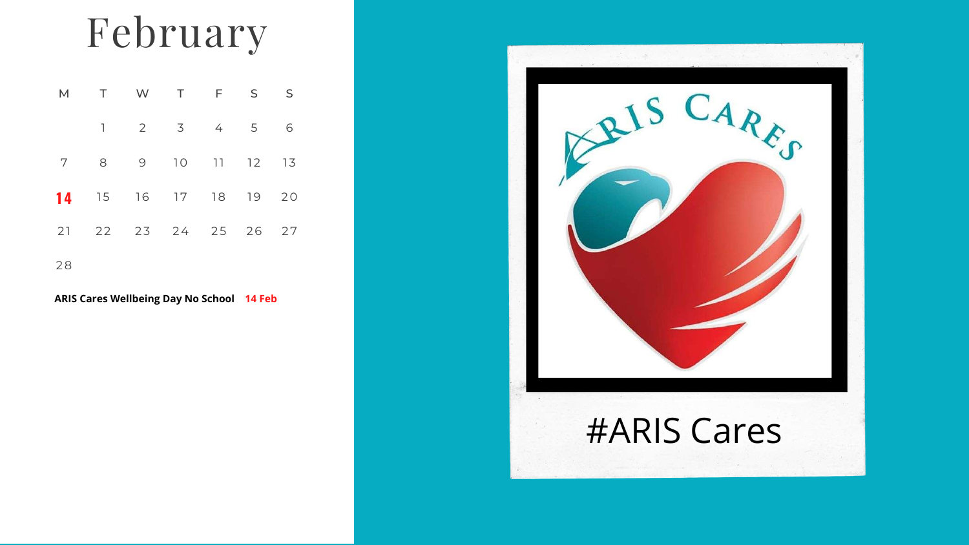# February

| M  | T W T                |                                                                    | F S | S |
|----|----------------------|--------------------------------------------------------------------|-----|---|
|    |                      | $\begin{array}{ccccccccccccccccc}\n1 & 2 & 3 & 4 & 5\n\end{array}$ |     | 6 |
| 7  |                      | 8 9 10 11 12 13                                                    |     |   |
|    | 14 15 16 17 18 19 20 |                                                                    |     |   |
|    | 21 22 23 24 25 26 27 |                                                                    |     |   |
| 28 |                      |                                                                    |     |   |



#### **ARIS Cares Wellbeing Day No School 14 Feb**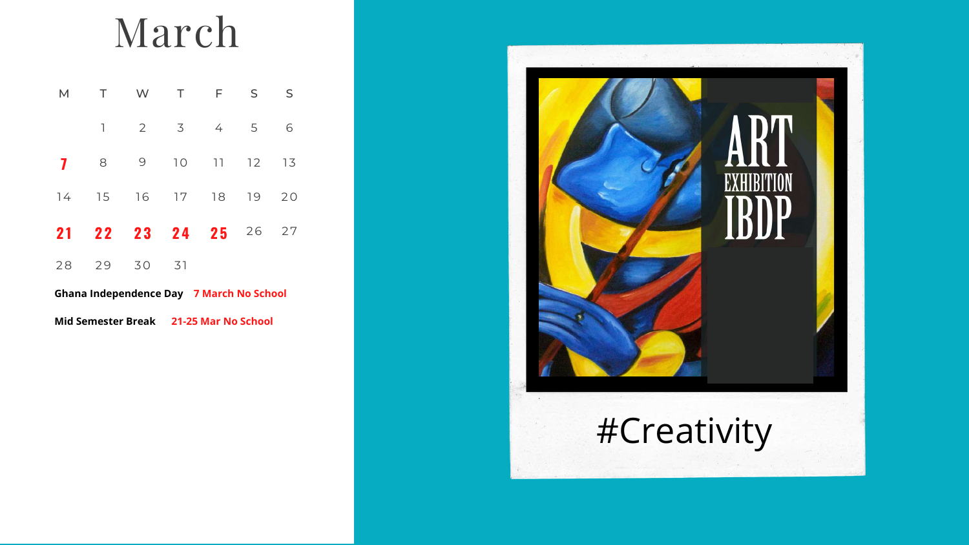### March

| M  | T W T             |                   |    | F S | S  |
|----|-------------------|-------------------|----|-----|----|
|    | $\mathbb{L}$      | 2 3 4 5           |    |     | 6  |
| 7  |                   | 8 9 10 11 12 13   |    |     |    |
|    | 14 15 16 17 18 19 |                   |    |     | 20 |
| 21 |                   | 22 23 24 25 26 27 |    |     |    |
|    | 28 29             | 30                | 31 |     |    |



**Ghana Independence Day 7 March No School Mid Semester Break 21-25 Mar No School**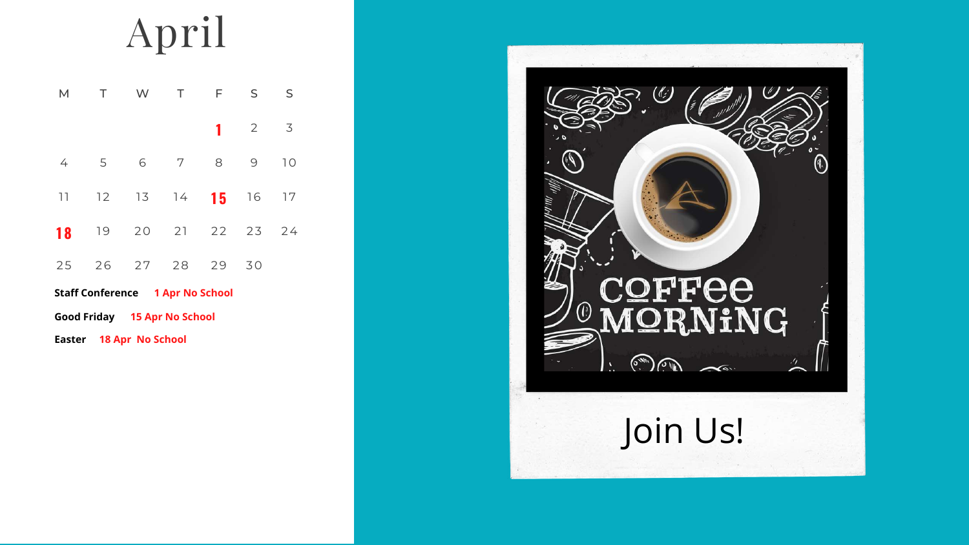# April

| M T W T              |     | F S |             | S  |
|----------------------|-----|-----|-------------|----|
|                      |     |     | $1 \t2 \t3$ |    |
| $4\quad 5$           | 6 7 |     | 8 9         | 10 |
| 11 12 13 14 15 16 17 |     |     |             |    |
| 18 19 20 21 22 23 24 |     |     |             |    |
| 25 26 27 28 29       |     |     | 30          |    |

- **Staff Conference 1 Apr No School**
- **Good Friday 15 Apr No School**
- **Easter 18 Apr No School**

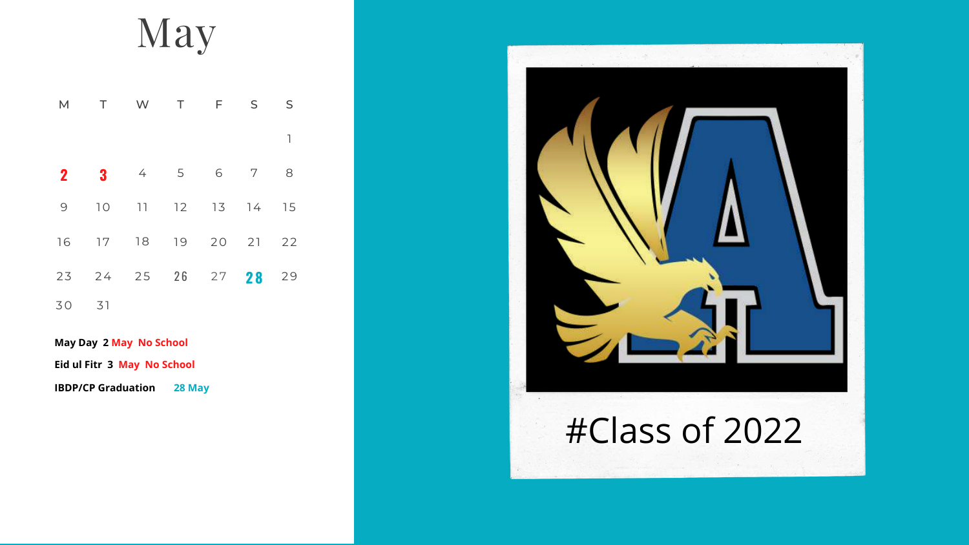#### May

| M           |                | T W T       |  | F S | S  |
|-------------|----------------|-------------|--|-----|----|
|             |                |             |  |     | 1  |
| $\mathbf 2$ | 3              | $4\qquad 5$ |  | 6 7 | 8  |
| 9           | 10             | 11 12 13 14 |  |     | 15 |
| 16          | 17 18 19 20 21 |             |  |     | 22 |
|             | 23 24 25 26 27 |             |  | 28  | 29 |
| 30          | 31             |             |  |     |    |



**May Day 2 May No School Eid ul Fitr 3 May No School**

**IBDP/CP Graduation 28 May**